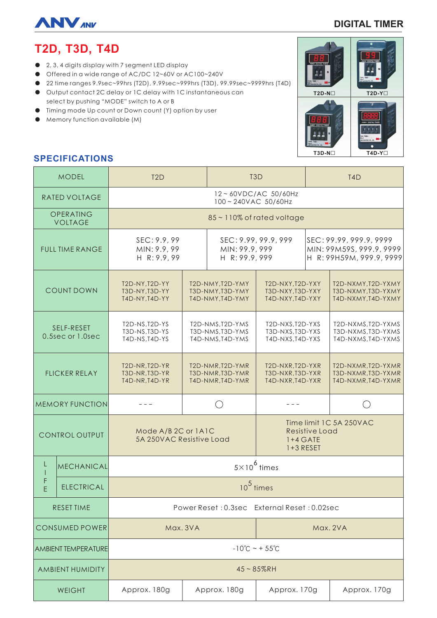

### **DIGITAL TIMER**

# **T2D, T3D, T4D**

- 2, 3, 4 digits display with 7 segment LED display
- Offered in a wide range of AC/DC 12~60V or AC100~240V
- 22 time ranges 9.9sec~99hrs (T2D), 9.99sec~999hrs (T3D), 99.99sec~9999hrs (T4D)
- Output contact 2C delay or 1C delay with 1C instantaneous can select by pushing "MODE" switch to A or B
- Timing mode Up count or Down count (Y) option by user
- Memory function available (M)



## **SPECIFICATIONS**

| <b>MODEL</b>                   |                   | T <sub>2</sub> D                                          |                                                          | T <sub>3</sub> D                                         |                                                                      | T <sub>4</sub> D                                                                |                                                                |
|--------------------------------|-------------------|-----------------------------------------------------------|----------------------------------------------------------|----------------------------------------------------------|----------------------------------------------------------------------|---------------------------------------------------------------------------------|----------------------------------------------------------------|
| <b>RATED VOLTAGE</b>           |                   | 12~60VDC/AC 50/60Hz<br>100~240VAC 50/60Hz                 |                                                          |                                                          |                                                                      |                                                                                 |                                                                |
| OPERATING<br><b>VOLTAGE</b>    |                   | 85~110% of rated voltage                                  |                                                          |                                                          |                                                                      |                                                                                 |                                                                |
| <b>FULL TIME RANGE</b>         |                   | SEC: 9.9, 99<br>MIN: 9.9, 99<br>H R: 9.9, 99              |                                                          | SEC: 9.99, 99.9, 999<br>MIN: 99.9, 999<br>H R: 99.9, 999 |                                                                      | SEC: 99.99, 999.9, 9999<br>MIN: 99M59S, 999.9, 9999<br>H R: 99H59M, 999.9, 9999 |                                                                |
| <b>COUNT DOWN</b>              |                   | T2D-NY, T2D-YY<br>T3D-NY, T3D-YY<br>T4D-NY, T4D-YY        | T2D-NMY, T2D-YMY<br>T3D-NMY, T3D-YMY<br>T4D-NMY, T4D-YMY |                                                          | T2D-NXY, T2D-YXY<br>T3D-NXY, T3D-YXY<br>T4D-NXY, T4D-YXY             |                                                                                 | T2D-NXMY, T2D-YXMY<br>T3D-NXMY, T3D-YXMY<br>T4D-NXMY, T4D-YXMY |
| SELF-RESET<br>0.5sec or 1.0sec |                   | T2D-NS, T2D-YS<br>T3D-NS, T3D-YS<br>T4D-NS, T4D-YS        | T2D-NMS, T2D-YMS<br>T3D-NMS, T3D-YMS<br>T4D-NMS, T4D-YMS |                                                          | T2D-NXS, T2D-YXS<br>T3D-NXS, T3D-YXS<br>T4D-NXS, T4D-YXS             |                                                                                 | T2D-NXMS, T2D-YXMS<br>T3D-NXMS, T3D-YXMS<br>T4D-NXMS, T4D-YXMS |
| <b>FLICKER RELAY</b>           |                   | <b>T2D-NR, T2D-YR</b><br>T3D-NR, T3D-YR<br>T4D-NR, T4D-YR | T2D-NMR, T2D-YMR<br>T3D-NMR, T3D-YMR<br>T4D-NMR, T4D-YMR |                                                          | T2D-NXR, T2D-YXR<br>T3D-NXR, T3D-YXR<br>T4D-NXR, T4D-YXR             |                                                                                 | T2D-NXMR, T2D-YXMR<br>T3D-NXMR, T3D-YXMR<br>T4D-NXMR, T4D-YXMR |
| <b>MEMORY FUNCTION</b>         |                   |                                                           |                                                          |                                                          |                                                                      |                                                                                 |                                                                |
| <b>CONTROL OUTPUT</b>          |                   | Mode A/B 2C or 1A1C<br>5A 250VAC Resistive Load           |                                                          |                                                          | Time limit 1C 5A 250VAC<br>Resistive Load<br>$1+4$ GATE<br>1+3 RESET |                                                                                 |                                                                |
|                                | <b>MECHANICAL</b> | $5\times10^6$ times                                       |                                                          |                                                          |                                                                      |                                                                                 |                                                                |
| F<br>F                         | <b>ELECTRICAL</b> | $10^5$ times                                              |                                                          |                                                          |                                                                      |                                                                                 |                                                                |
| <b>RESET TIME</b>              |                   | Power Reset: 0.3sec External Reset: 0.02sec               |                                                          |                                                          |                                                                      |                                                                                 |                                                                |
| CONSUMED POWER                 |                   | Max. 3VA                                                  |                                                          |                                                          | Max. 2VA                                                             |                                                                                 |                                                                |
| <b>AMBIENT TEMPERATURE</b>     |                   | $-10^{\circ}$ C ~ + 55 $^{\circ}$ C                       |                                                          |                                                          |                                                                      |                                                                                 |                                                                |
| <b>AMBIENT HUMIDITY</b>        |                   | $45 - 85%$ RH                                             |                                                          |                                                          |                                                                      |                                                                                 |                                                                |
| <b>WEIGHT</b>                  |                   | Approx. 180g                                              | Approx. 180g                                             |                                                          | Approx. 170g                                                         |                                                                                 | Approx. 170g                                                   |